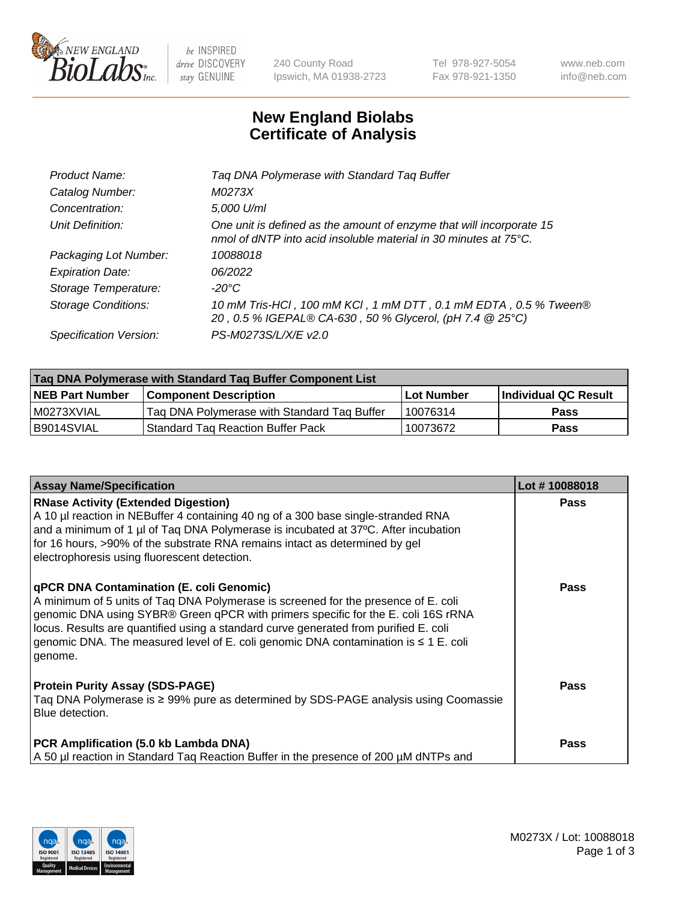

 $be$  INSPIRED drive DISCOVERY stay GENUINE

240 County Road Ipswich, MA 01938-2723 Tel 978-927-5054 Fax 978-921-1350 www.neb.com info@neb.com

## **New England Biolabs Certificate of Analysis**

| Tag DNA Polymerase with Standard Tag Buffer                                                                                              |
|------------------------------------------------------------------------------------------------------------------------------------------|
| M0273X                                                                                                                                   |
| 5,000 U/ml                                                                                                                               |
| One unit is defined as the amount of enzyme that will incorporate 15<br>nmol of dNTP into acid insoluble material in 30 minutes at 75°C. |
| 10088018                                                                                                                                 |
| 06/2022                                                                                                                                  |
| $-20^{\circ}$ C                                                                                                                          |
| 10 mM Tris-HCI, 100 mM KCI, 1 mM DTT, 0.1 mM EDTA, 0.5 % Tween®<br>20, 0.5 % IGEPAL® CA-630, 50 % Glycerol, (pH 7.4 @ 25°C)              |
| PS-M0273S/L/X/E v2.0                                                                                                                     |
|                                                                                                                                          |

| Tag DNA Polymerase with Standard Tag Buffer Component List |                                             |                   |                      |  |  |
|------------------------------------------------------------|---------------------------------------------|-------------------|----------------------|--|--|
| <b>NEB Part Number</b>                                     | Component Description_                      | <b>Lot Number</b> | Individual QC Result |  |  |
| M0273XVIAL                                                 | Tag DNA Polymerase with Standard Tag Buffer | 10076314          | Pass                 |  |  |
| B9014SVIAL                                                 | <b>Standard Tag Reaction Buffer Pack</b>    | 10073672          | <b>Pass</b>          |  |  |

| <b>Assay Name/Specification</b>                                                                                                                                                                                                                                                                                                                                                                                    | Lot #10088018 |
|--------------------------------------------------------------------------------------------------------------------------------------------------------------------------------------------------------------------------------------------------------------------------------------------------------------------------------------------------------------------------------------------------------------------|---------------|
| <b>RNase Activity (Extended Digestion)</b><br>A 10 µl reaction in NEBuffer 4 containing 40 ng of a 300 base single-stranded RNA<br>and a minimum of 1 µl of Taq DNA Polymerase is incubated at 37°C. After incubation<br>for 16 hours, >90% of the substrate RNA remains intact as determined by gel<br>electrophoresis using fluorescent detection.                                                               | <b>Pass</b>   |
| qPCR DNA Contamination (E. coli Genomic)<br>A minimum of 5 units of Taq DNA Polymerase is screened for the presence of E. coli<br>genomic DNA using SYBR® Green qPCR with primers specific for the E. coli 16S rRNA<br>locus. Results are quantified using a standard curve generated from purified E. coli<br>genomic DNA. The measured level of E. coli genomic DNA contamination is $\leq 1$ E. coli<br>genome. | <b>Pass</b>   |
| <b>Protein Purity Assay (SDS-PAGE)</b><br>Taq DNA Polymerase is ≥ 99% pure as determined by SDS-PAGE analysis using Coomassie<br>Blue detection.                                                                                                                                                                                                                                                                   | <b>Pass</b>   |
| PCR Amplification (5.0 kb Lambda DNA)<br>A 50 µl reaction in Standard Tag Reaction Buffer in the presence of 200 µM dNTPs and                                                                                                                                                                                                                                                                                      | <b>Pass</b>   |

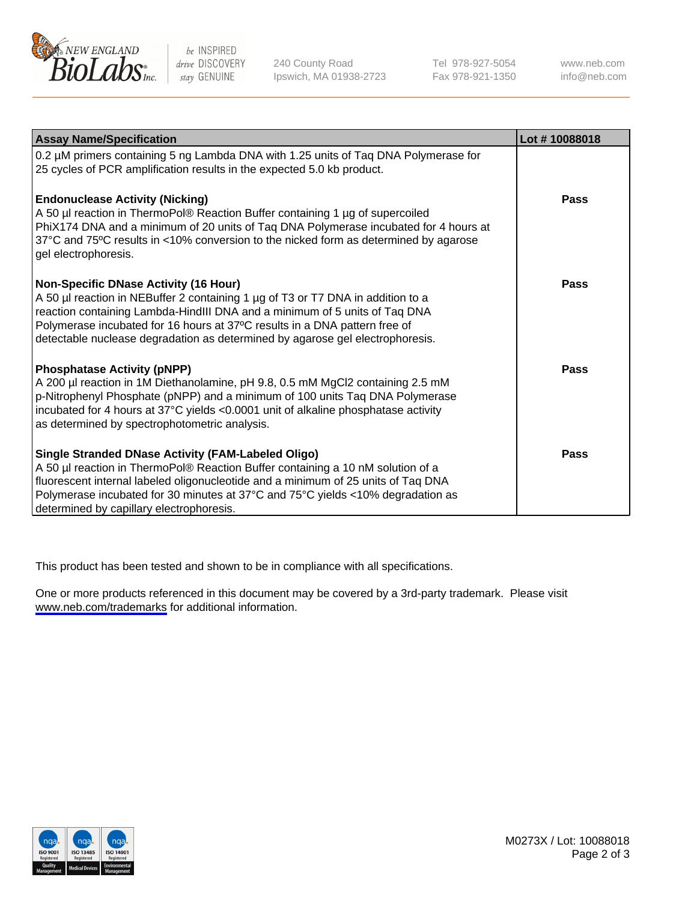

be INSPIRED drive DISCOVERY stay GENUINE

240 County Road Ipswich, MA 01938-2723 Tel 978-927-5054 Fax 978-921-1350

www.neb.com info@neb.com

| <b>Assay Name/Specification</b>                                                                                                                                                                                                                                                                                                                                              | Lot #10088018 |
|------------------------------------------------------------------------------------------------------------------------------------------------------------------------------------------------------------------------------------------------------------------------------------------------------------------------------------------------------------------------------|---------------|
| 0.2 µM primers containing 5 ng Lambda DNA with 1.25 units of Taq DNA Polymerase for<br>25 cycles of PCR amplification results in the expected 5.0 kb product.                                                                                                                                                                                                                |               |
| <b>Endonuclease Activity (Nicking)</b><br>A 50 µl reaction in ThermoPol® Reaction Buffer containing 1 µg of supercoiled<br>PhiX174 DNA and a minimum of 20 units of Taq DNA Polymerase incubated for 4 hours at<br>37°C and 75°C results in <10% conversion to the nicked form as determined by agarose<br>gel electrophoresis.                                              | Pass          |
| <b>Non-Specific DNase Activity (16 Hour)</b><br>A 50 µl reaction in NEBuffer 2 containing 1 µg of T3 or T7 DNA in addition to a<br>reaction containing Lambda-HindIII DNA and a minimum of 5 units of Taq DNA<br>Polymerase incubated for 16 hours at 37°C results in a DNA pattern free of<br>detectable nuclease degradation as determined by agarose gel electrophoresis. | Pass          |
| <b>Phosphatase Activity (pNPP)</b><br>A 200 µl reaction in 1M Diethanolamine, pH 9.8, 0.5 mM MgCl2 containing 2.5 mM<br>p-Nitrophenyl Phosphate (pNPP) and a minimum of 100 units Taq DNA Polymerase<br>incubated for 4 hours at 37°C yields <0.0001 unit of alkaline phosphatase activity<br>as determined by spectrophotometric analysis.                                  | <b>Pass</b>   |
| Single Stranded DNase Activity (FAM-Labeled Oligo)<br>A 50 µl reaction in ThermoPol® Reaction Buffer containing a 10 nM solution of a<br>fluorescent internal labeled oligonucleotide and a minimum of 25 units of Taq DNA<br>Polymerase incubated for 30 minutes at 37°C and 75°C yields <10% degradation as<br>determined by capillary electrophoresis.                    | Pass          |

This product has been tested and shown to be in compliance with all specifications.

One or more products referenced in this document may be covered by a 3rd-party trademark. Please visit <www.neb.com/trademarks>for additional information.